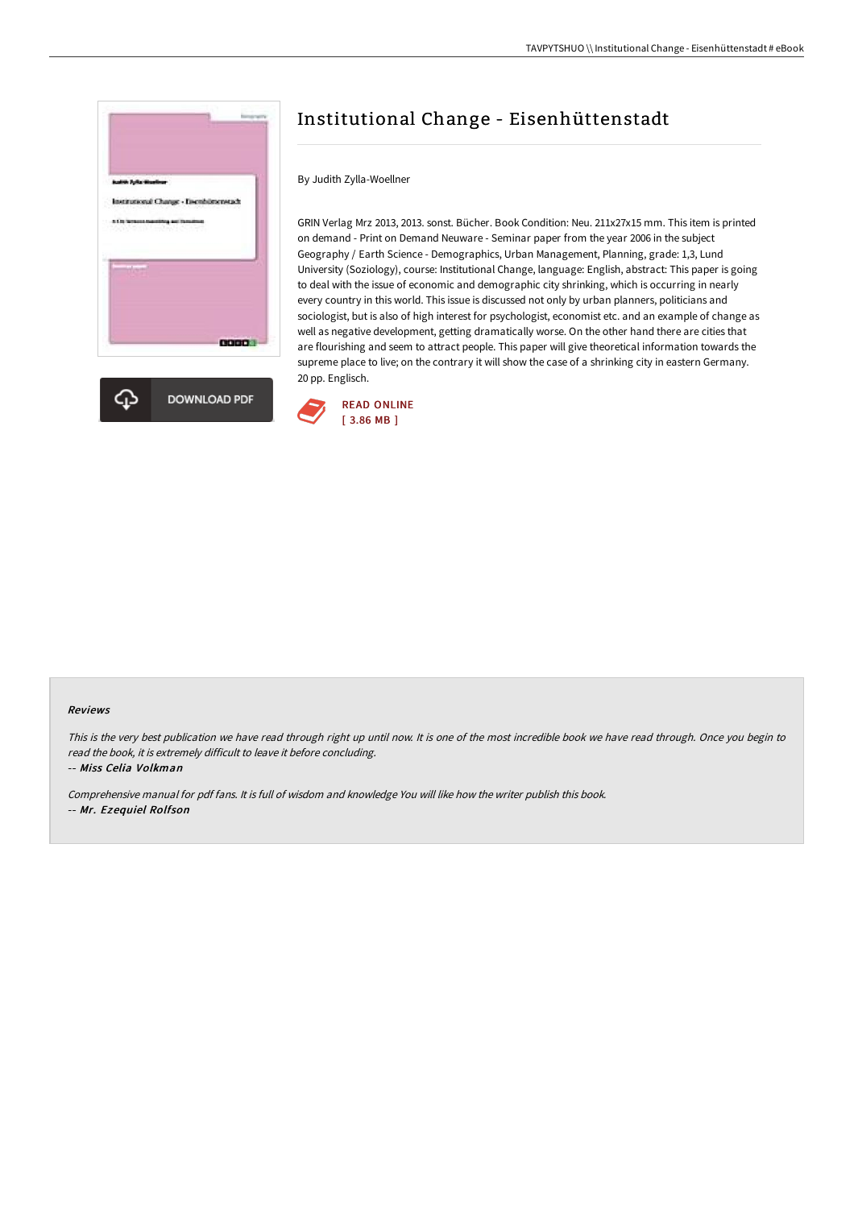



# Institutional Change - Eisenhüttenstadt

### By Judith Zylla-Woellner

GRIN Verlag Mrz 2013, 2013. sonst. Bücher. Book Condition: Neu. 211x27x15 mm. This item is printed on demand - Print on Demand Neuware - Seminar paper from the year 2006 in the subject Geography / Earth Science - Demographics, Urban Management, Planning, grade: 1,3, Lund University (Soziology), course: Institutional Change, language: English, abstract: This paper is going to deal with the issue of economic and demographic city shrinking, which is occurring in nearly every country in this world. This issue is discussed not only by urban planners, politicians and sociologist, but is also of high interest for psychologist, economist etc. and an example of change as well as negative development, getting dramatically worse. On the other hand there are cities that are flourishing and seem to attract people. This paper will give theoretical information towards the supreme place to live; on the contrary it will show the case of a shrinking city in eastern Germany. 20 pp. Englisch.



#### Reviews

This is the very best publication we have read through right up until now. It is one of the most incredible book we have read through. Once you begin to read the book, it is extremely difficult to leave it before concluding.

-- Miss Celia Volkman

Comprehensive manual for pdf fans. It is full of wisdom and knowledge You will like how the writer publish this book.

-- Mr. Ezequiel Rolfson